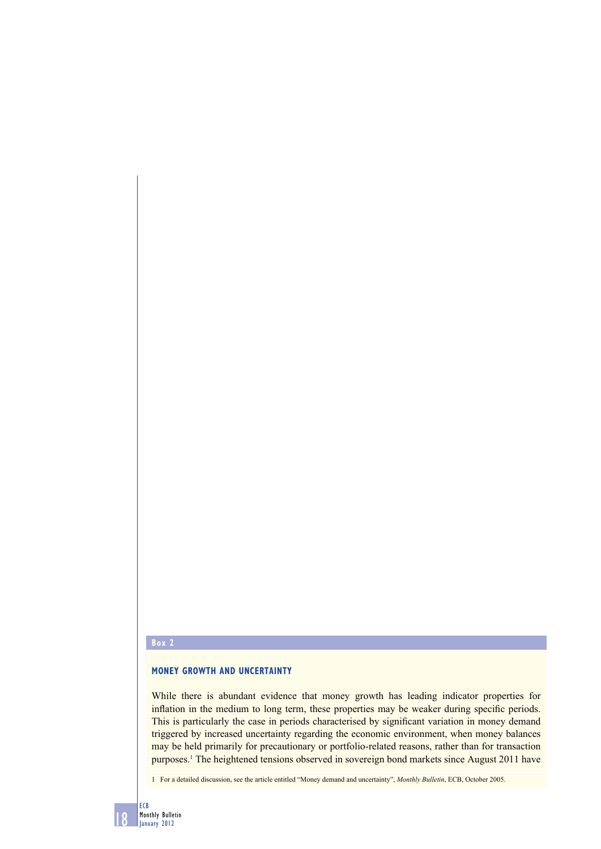#### **Box 2**

# **MONEY GROWTH AND UNCERTAINTY**

While there is abundant evidence that money growth has leading indicator properties for inflation in the medium to long term, these properties may be weaker during specific periods. This is particularly the case in periods characterised by significant variation in money demand triggered by increased uncertainty regarding the economic environment, when money balances may be held primarily for precautionary or portfolio-related reasons, rather than for transaction purposes.1 The heightened tensions observed in sovereign bond markets since August 2011 have

1 For a detailed discussion, see the article entitled "Money demand and uncertainty", *Monthly Bulletin*, ECB, October 2005.

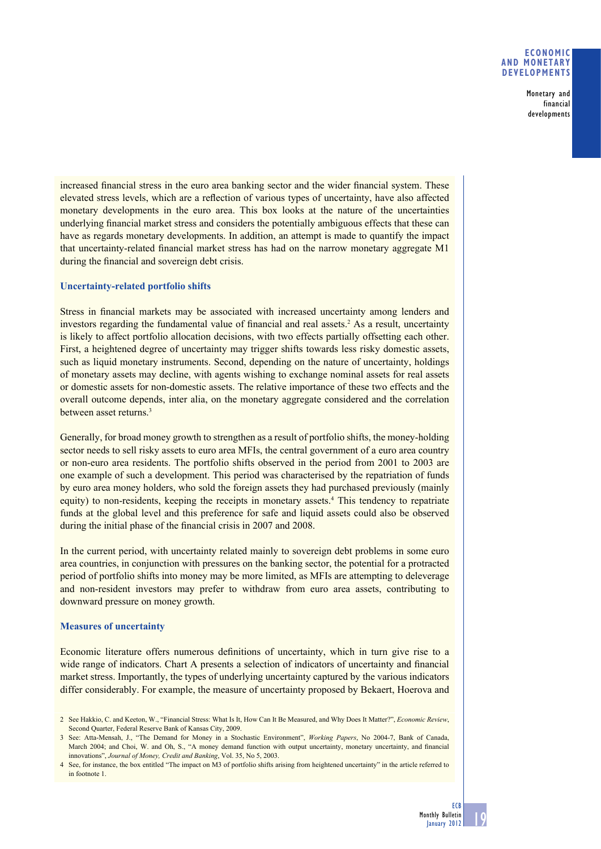### **ECONOMIC AND MONETARY DEVELOPMENTS**

Monetary and financial developments

increased financial stress in the euro area banking sector and the wider financial system. These elevated stress levels, which are a reflection of various types of uncertainty, have also affected monetary developments in the euro area. This box looks at the nature of the uncertainties underlying financial market stress and considers the potentially ambiguous effects that these can have as regards monetary developments. In addition, an attempt is made to quantify the impact that uncertainty-related financial market stress has had on the narrow monetary aggregate M1 during the financial and sovereign debt crisis.

## **Uncertainty-related portfolio shifts**

Stress in financial markets may be associated with increased uncertainty among lenders and investors regarding the fundamental value of financial and real assets.<sup>2</sup> As a result, uncertainty is likely to affect portfolio allocation decisions, with two effects partially offsetting each other. First, a heightened degree of uncertainty may trigger shifts towards less risky domestic assets, such as liquid monetary instruments. Second, depending on the nature of uncertainty, holdings of monetary assets may decline, with agents wishing to exchange nominal assets for real assets or domestic assets for non-domestic assets. The relative importance of these two effects and the overall outcome depends, inter alia, on the monetary aggregate considered and the correlation between asset returns.<sup>3</sup>

Generally, for broad money growth to strengthen as a result of portfolio shifts, the money-holding sector needs to sell risky assets to euro area MFIs, the central government of a euro area country or non-euro area residents. The portfolio shifts observed in the period from 2001 to 2003 are one example of such a development. This period was characterised by the repatriation of funds by euro area money holders, who sold the foreign assets they had purchased previously (mainly equity) to non-residents, keeping the receipts in monetary assets.<sup>4</sup> This tendency to repatriate funds at the global level and this preference for safe and liquid assets could also be observed during the initial phase of the financial crisis in 2007 and 2008.

In the current period, with uncertainty related mainly to sovereign debt problems in some euro area countries, in conjunction with pressures on the banking sector, the potential for a protracted period of portfolio shifts into money may be more limited, as MFIs are attempting to deleverage and non-resident investors may prefer to withdraw from euro area assets, contributing to downward pressure on money growth.

## **Measures of uncertainty**

Economic literature offers numerous definitions of uncertainty, which in turn give rise to a wide range of indicators. Chart A presents a selection of indicators of uncertainty and financial market stress. Importantly, the types of underlying uncertainty captured by the various indicators differ considerably. For example, the measure of uncertainty proposed by Bekaert, Hoerova and

<sup>2</sup> See Hakkio, C. and Keeton, W., "Financial Stress: What Is It, How Can It Be Measured, and Why Does It Matter?", *Economic Review*, Second Quarter, Federal Reserve Bank of Kansas City, 2009.

<sup>3</sup> See: Atta-Mensah, J., "The Demand for Money in a Stochastic Environment", *Working Papers*, No 2004-7, Bank of Canada, March 2004; and Choi, W. and Oh, S., "A money demand function with output uncertainty, monetary uncertainty, and financial innovations", *Journal of Money, Credit and Banking*, Vol. 35, No 5, 2003.

<sup>4</sup> See, for instance, the box entitled "The impact on M3 of portfolio shifts arising from heightened uncertainty" in the article referred to in footnote 1.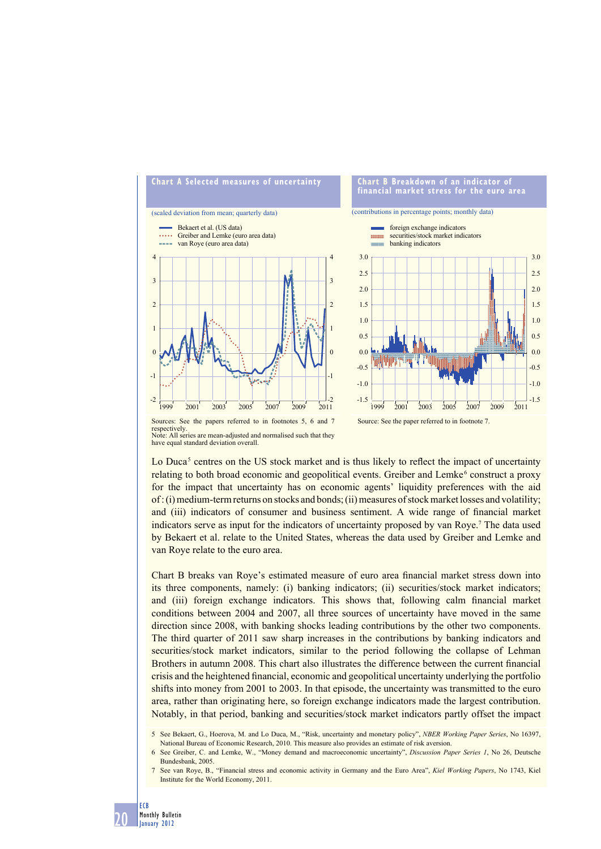

respectively. Note: All series are mean-adjusted and normalised such that they have equal standard deviation overall.

Lo Duca<sup>5</sup> centres on the US stock market and is thus likely to reflect the impact of uncertainty relating to both broad economic and geopolitical events. Greiber and Lemke<sup>6</sup> construct a proxy for the impact that uncertainty has on economic agents' liquidity preferences with the aid of : (i) medium-term returns on stocks and bonds; (ii) measures of stock market losses and volatility; and (iii) indicators of consumer and business sentiment. A wide range of financial market indicators serve as input for the indicators of uncertainty proposed by van Roye.<sup>7</sup> The data used by Bekaert et al. relate to the United States, whereas the data used by Greiber and Lemke and van Roye relate to the euro area.

Chart B breaks van Roye's estimated measure of euro area financial market stress down into its three components, namely: (i) banking indicators; (ii) securities/stock market indicators; and (iii) foreign exchange indicators. This shows that, following calm financial market conditions between 2004 and 2007, all three sources of uncertainty have moved in the same direction since 2008, with banking shocks leading contributions by the other two components. The third quarter of 2011 saw sharp increases in the contributions by banking indicators and securities/stock market indicators, similar to the period following the collapse of Lehman Brothers in autumn 2008. This chart also illustrates the difference between the current financial crisis and the heightened financial, economic and geopolitical uncertainty underlying the portfolio shifts into money from 2001 to 2003. In that episode, the uncertainty was transmitted to the euro area, rather than originating here, so foreign exchange indicators made the largest contribution. Notably, in that period, banking and securities/stock market indicators partly offset the impact

<sup>5</sup> See Bekaert, G., Hoerova, M. and Lo Duca, M., "Risk, uncertainty and monetary policy", *NBER Working Paper Series*, No 16397, National Bureau of Economic Research, 2010. This measure also provides an estimate of risk aversion.

<sup>6</sup> See Greiber, C. and Lemke, W., "Money demand and macroeconomic uncertainty", *Discussion Paper Series 1*, No 26, Deutsche Bundesbank, 2005.

<sup>7</sup> See van Roye, B., "Financial stress and economic activity in Germany and the Euro Area", *Kiel Working Papers*, No 1743, Kiel Institute for the World Economy, 2011.